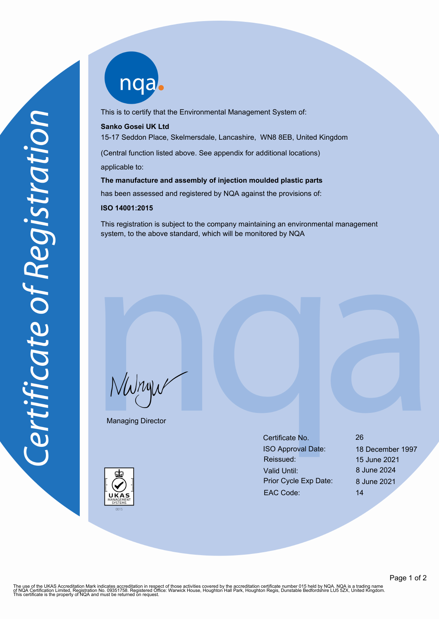nqab

This is to certify that the Environmental Management System of:

## **Sanko Gosei UK Ltd**

15-17 Seddon Place, Skelmersdale, Lancashire, WN8 8EB, United Kingdom

(Central function listed above. See appendix for additional locations)

applicable to:

**The manufacture and assembly of injection moulded plastic parts**

has been assessed and registered by NQA against the provisions of:

## **ISO 14001:2015**

This registration is subject to the company maintaining an environmental management system, to the above standard, which will be monitored by NQA

NWnyw

Managing Director



Certificate No. 26 ISO Approval Date: 18 December 1997 Reissued: 15 June 2021 Valid Until: 8 June 2024 Prior Cycle Exp Date: 8 June 2021 EAC Code: 14